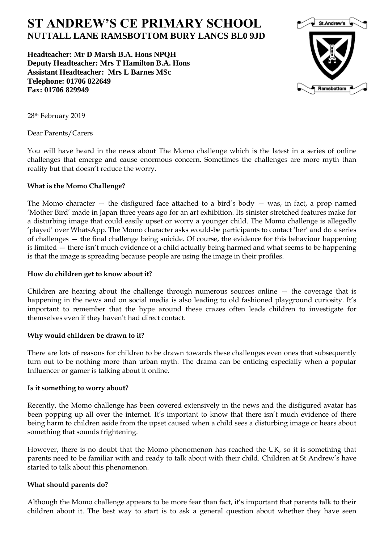# **ST ANDREW'S CE PRIMARY SCHOOL NUTTALL LANE RAMSBOTTOM BURY LANCS BL0 9JD**

**Headteacher: Mr D Marsh B.A. Hons NPQH Deputy Headteacher: Mrs T Hamilton B.A. Hons Assistant Headteacher: Mrs L Barnes MSc Telephone: 01706 822649 Fax: 01706 829949**



28th February 2019

Dear Parents/Carers

You will have heard in the news about The Momo challenge which is the latest in a series of online challenges that emerge and cause enormous concern. Sometimes the challenges are more myth than reality but that doesn't reduce the worry.

# **What is the Momo Challenge?**

The Momo character  $-$  the disfigured face attached to a bird's body  $-$  was, in fact, a prop named 'Mother Bird' made in Japan three years ago for an art exhibition. Its sinister stretched features make for a disturbing image that could easily upset or worry a younger child. The Momo challenge is allegedly 'played' over WhatsApp. The Momo character asks would-be participants to contact 'her' and do a series of challenges — the final challenge being suicide. Of course, the evidence for this behaviour happening is limited — there isn't much evidence of a child actually being harmed and what seems to be happening is that the image is spreading because people are using the image in their profiles.

### **How do children get to know about it?**

Children are hearing about the challenge through numerous sources online  $-$  the coverage that is happening in the news and on social media is also leading to old fashioned playground curiosity. It's important to remember that the hype around these crazes often leads children to investigate for themselves even if they haven't had direct contact.

# **Why would children be drawn to it?**

There are lots of reasons for children to be drawn towards these challenges even ones that subsequently turn out to be nothing more than urban myth. The drama can be enticing especially when a popular Influencer or gamer is talking about it online.

#### **Is it something to worry about?**

Recently, the Momo challenge has been covered extensively in the news and the disfigured avatar has been popping up all over the internet. It's important to know that there isn't much evidence of there being harm to children aside from the upset caused when a child sees a disturbing image or hears about something that sounds frightening.

However, there is no doubt that the Momo phenomenon has reached the UK, so it is something that parents need to be familiar with and ready to talk about with their child. Children at St Andrew's have started to talk about this phenomenon.

# **What should parents do?**

Although the Momo challenge appears to be more fear than fact, it's important that parents talk to their children about it. The best way to start is to ask a general question about whether they have seen